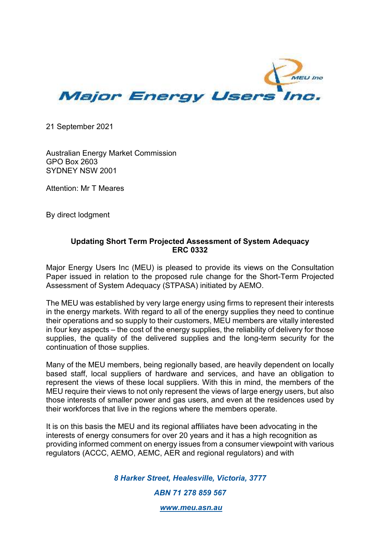

21 September 2021

Australian Energy Market Commission GPO Box 2603 SYDNEY NSW 2001

Attention: Mr T Meares

By direct lodgment

## **Updating Short Term Projected Assessment of System Adequacy ERC 0332**

Major Energy Users Inc (MEU) is pleased to provide its views on the Consultation Paper issued in relation to the proposed rule change for the Short-Term Projected Assessment of System Adequacy (STPASA) initiated by AEMO.

The MEU was established by very large energy using firms to represent their interests in the energy markets. With regard to all of the energy supplies they need to continue their operations and so supply to their customers, MEU members are vitally interested in four key aspects – the cost of the energy supplies, the reliability of delivery for those supplies, the quality of the delivered supplies and the long-term security for the continuation of those supplies.

Many of the MEU members, being regionally based, are heavily dependent on locally based staff, local suppliers of hardware and services, and have an obligation to represent the views of these local suppliers. With this in mind, the members of the MEU require their views to not only represent the views of large energy users, but also those interests of smaller power and gas users, and even at the residences used by their workforces that live in the regions where the members operate.

It is on this basis the MEU and its regional affiliates have been advocating in the interests of energy consumers for over 20 years and it has a high recognition as providing informed comment on energy issues from a consumer viewpoint with various regulators (ACCC, AEMO, AEMC, AER and regional regulators) and with

*8 Harker Street, Healesville, Victoria, 3777* 

*ABN 71 278 859 567* 

 *www.meu.asn.au*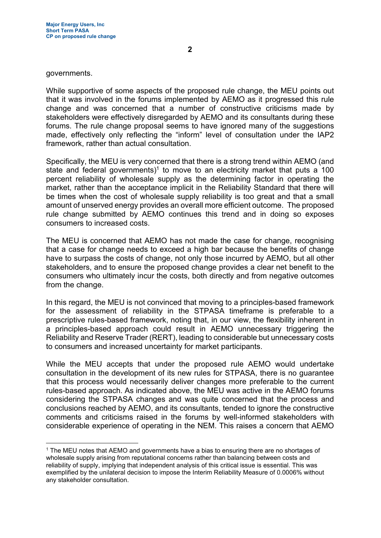governments.

While supportive of some aspects of the proposed rule change, the MEU points out that it was involved in the forums implemented by AEMO as it progressed this rule change and was concerned that a number of constructive criticisms made by stakeholders were effectively disregarded by AEMO and its consultants during these forums. The rule change proposal seems to have ignored many of the suggestions made, effectively only reflecting the "inform" level of consultation under the IAP2 framework, rather than actual consultation.

Specifically, the MEU is very concerned that there is a strong trend within AEMO (and state and federal governments)<sup>1</sup> to move to an electricity market that puts a 100 percent reliability of wholesale supply as the determining factor in operating the market, rather than the acceptance implicit in the Reliability Standard that there will be times when the cost of wholesale supply reliability is too great and that a small amount of unserved energy provides an overall more efficient outcome. The proposed rule change submitted by AEMO continues this trend and in doing so exposes consumers to increased costs.

The MEU is concerned that AEMO has not made the case for change, recognising that a case for change needs to exceed a high bar because the benefits of change have to surpass the costs of change, not only those incurred by AEMO, but all other stakeholders, and to ensure the proposed change provides a clear net benefit to the consumers who ultimately incur the costs, both directly and from negative outcomes from the change.

In this regard, the MEU is not convinced that moving to a principles-based framework for the assessment of reliability in the STPASA timeframe is preferable to a prescriptive rules-based framework, noting that, in our view, the flexibility inherent in a principles-based approach could result in AEMO unnecessary triggering the Reliability and Reserve Trader (RERT), leading to considerable but unnecessary costs to consumers and increased uncertainty for market participants.

While the MEU accepts that under the proposed rule AEMO would undertake consultation in the development of its new rules for STPASA, there is no guarantee that this process would necessarily deliver changes more preferable to the current rules-based approach. As indicated above, the MEU was active in the AEMO forums considering the STPASA changes and was quite concerned that the process and conclusions reached by AEMO, and its consultants, tended to ignore the constructive comments and criticisms raised in the forums by well-informed stakeholders with considerable experience of operating in the NEM. This raises a concern that AEMO

<sup>1</sup> The MEU notes that AEMO and governments have a bias to ensuring there are no shortages of wholesale supply arising from reputational concerns rather than balancing between costs and reliability of supply, implying that independent analysis of this critical issue is essential. This was exemplified by the unilateral decision to impose the Interim Reliability Measure of 0.0006% without any stakeholder consultation.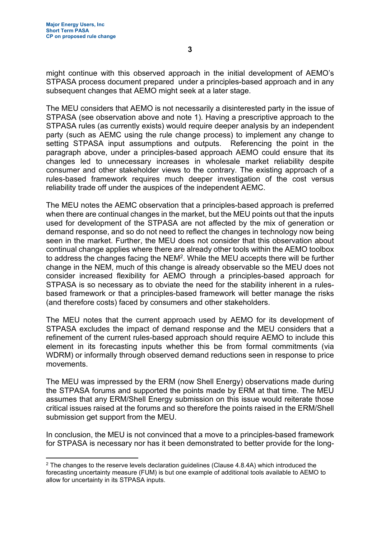might continue with this observed approach in the initial development of AEMO's STPASA process document prepared under a principles-based approach and in any subsequent changes that AEMO might seek at a later stage.

The MEU considers that AEMO is not necessarily a disinterested party in the issue of STPASA (see observation above and note 1). Having a prescriptive approach to the STPASA rules (as currently exists) would require deeper analysis by an independent party (such as AEMC using the rule change process) to implement any change to setting STPASA input assumptions and outputs. Referencing the point in the paragraph above, under a principles-based approach AEMO could ensure that its changes led to unnecessary increases in wholesale market reliability despite consumer and other stakeholder views to the contrary. The existing approach of a rules-based framework requires much deeper investigation of the cost versus reliability trade off under the auspices of the independent AEMC.

The MEU notes the AEMC observation that a principles-based approach is preferred when there are continual changes in the market, but the MEU points out that the inputs used for development of the STPASA are not affected by the mix of generation or demand response, and so do not need to reflect the changes in technology now being seen in the market. Further, the MEU does not consider that this observation about continual change applies where there are already other tools within the AEMO toolbox to address the changes facing the NEM<sup>2</sup>. While the MEU accepts there will be further change in the NEM, much of this change is already observable so the MEU does not consider increased flexibility for AEMO through a principles-based approach for STPASA is so necessary as to obviate the need for the stability inherent in a rulesbased framework or that a principles-based framework will better manage the risks (and therefore costs) faced by consumers and other stakeholders.

The MEU notes that the current approach used by AEMO for its development of STPASA excludes the impact of demand response and the MEU considers that a refinement of the current rules-based approach should require AEMO to include this element in its forecasting inputs whether this be from formal commitments (via WDRM) or informally through observed demand reductions seen in response to price movements.

The MEU was impressed by the ERM (now Shell Energy) observations made during the STPASA forums and supported the points made by ERM at that time. The MEU assumes that any ERM/Shell Energy submission on this issue would reiterate those critical issues raised at the forums and so therefore the points raised in the ERM/Shell submission get support from the MEU.

In conclusion, the MEU is not convinced that a move to a principles-based framework for STPASA is necessary nor has it been demonstrated to better provide for the long-

 $^{\rm 2}$  The changes to the reserve levels declaration guidelines (Clause 4.8.4A) which introduced the forecasting uncertainty measure (FUM) is but one example of additional tools available to AEMO to allow for uncertainty in its STPASA inputs.